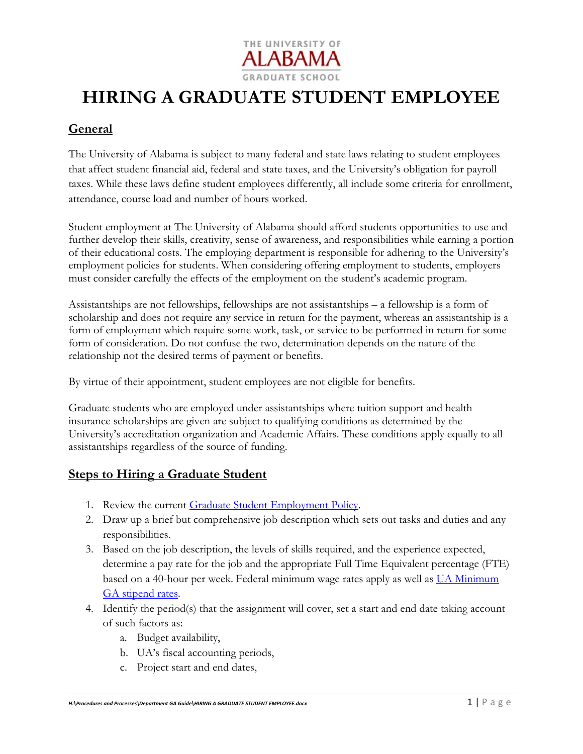

# **HIRING A GRADUATE STUDENT EMPLOYEE**

## **General**

The University of Alabama is subject to many federal and state laws relating to student employees that affect student financial aid, federal and state taxes, and the University's obligation for payroll taxes. While these laws define student employees differently, all include some criteria for enrollment, attendance, course load and number of hours worked.

Student employment at The University of Alabama should afford students opportunities to use and further develop their skills, creativity, sense of awareness, and responsibilities while earning a portion of their educational costs. The employing department is responsible for adhering to the University's employment policies for students. When considering offering employment to students, employers must consider carefully the effects of the employment on the student's academic program.

Assistantships are not fellowships, fellowships are not assistantships – a fellowship is a form of scholarship and does not require any service in return for the payment, whereas an assistantship is a form of employment which require some work, task, or service to be performed in return for some form of consideration. Do not confuse the two, determination depends on the nature of the relationship not the desired terms of payment or benefits.

By virtue of their appointment, student employees are not eligible for benefits.

Graduate students who are employed under assistantships where tuition support and health insurance scholarships are given are subject to qualifying conditions as determined by the University's accreditation organization and Academic Affairs. These conditions apply equally to all assistantships regardless of the source of funding.

### **Steps to Hiring a Graduate Student**

- 1. Review the current Graduate Student Employment Policy.
- 2. Draw up a brief but comprehensive job description which sets out tasks and duties and any responsibilities.
- 3. Based on the job description, the levels of skills required, and the experience expected, determine a pay rate for the job and the appropriate Full Time Equivalent percentage (FTE) based on a 40-hour per week. Federal minimum wage rates apply as well as UA Minimum GA stipend rates.
- 4. Identify the period(s) that the assignment will cover, set a start and end date taking account of such factors as:
	- a. Budget availability,
	- b. UA's fiscal accounting periods,
	- c. Project start and end dates,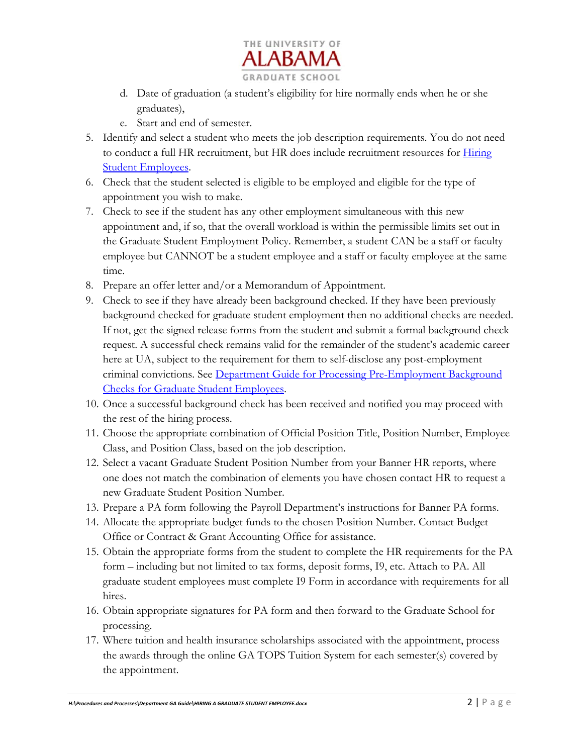

- d. Date of graduation (a student's eligibility for hire normally ends when he or she graduates),
- e. Start and end of semester.
- 5. Identify and select a student who meets the job description requirements. You do not need to conduct a full HR recruitment, but HR does include recruitment resources for Hiring **Student Employees.**
- 6. Check that the student selected is eligible to be employed and eligible for the type of appointment you wish to make.
- 7. Check to see if the student has any other employment simultaneous with this new appointment and, if so, that the overall workload is within the permissible limits set out in the Graduate Student Employment Policy. Remember, a student CAN be a staff or faculty employee but CANNOT be a student employee and a staff or faculty employee at the same time.
- 8. Prepare an offer letter and/or a Memorandum of Appointment.
- 9. Check to see if they have already been background checked. If they have been previously background checked for graduate student employment then no additional checks are needed. If not, get the signed release forms from the student and submit a formal background check request. A successful check remains valid for the remainder of the student's academic career here at UA, subject to the requirement for them to self-disclose any post-employment criminal convictions. See Department Guide for Processing Pre-Employment Background Checks for Graduate Student Employees.
- 10. Once a successful background check has been received and notified you may proceed with the rest of the hiring process.
- 11. Choose the appropriate combination of Official Position Title, Position Number, Employee Class, and Position Class, based on the job description.
- 12. Select a vacant Graduate Student Position Number from your Banner HR reports, where one does not match the combination of elements you have chosen contact HR to request a new Graduate Student Position Number.
- 13. Prepare a PA form following the Payroll Department's instructions for Banner PA forms.
- 14. Allocate the appropriate budget funds to the chosen Position Number. Contact Budget Office or Contract & Grant Accounting Office for assistance.
- 15. Obtain the appropriate forms from the student to complete the HR requirements for the PA form – including but not limited to tax forms, deposit forms, I9, etc. Attach to PA. All graduate student employees must complete I9 Form in accordance with requirements for all hires.
- 16. Obtain appropriate signatures for PA form and then forward to the Graduate School for processing.
- 17. Where tuition and health insurance scholarships associated with the appointment, process the awards through the online GA TOPS Tuition System for each semester(s) covered by the appointment.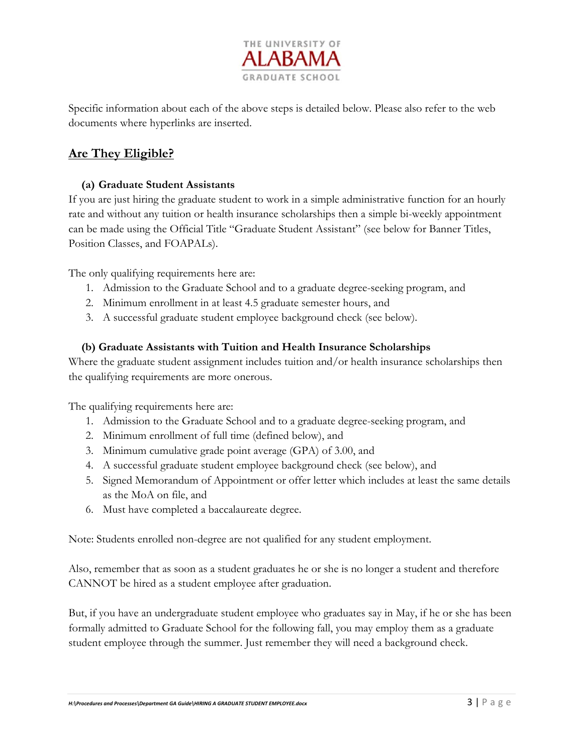

Specific information about each of the above steps is detailed below. Please also refer to the web documents where hyperlinks are inserted.

# **Are They Eligible?**

#### **(a) Graduate Student Assistants**

If you are just hiring the graduate student to work in a simple administrative function for an hourly rate and without any tuition or health insurance scholarships then a simple bi-weekly appointment can be made using the Official Title "Graduate Student Assistant" (see below for Banner Titles, Position Classes, and FOAPALs).

The only qualifying requirements here are:

- 1. Admission to the Graduate School and to a graduate degree-seeking program, and
- 2. Minimum enrollment in at least 4.5 graduate semester hours, and
- 3. A successful graduate student employee background check (see below).

#### **(b) Graduate Assistants with Tuition and Health Insurance Scholarships**

Where the graduate student assignment includes tuition and/or health insurance scholarships then the qualifying requirements are more onerous.

The qualifying requirements here are:

- 1. Admission to the Graduate School and to a graduate degree-seeking program, and
- 2. Minimum enrollment of full time (defined below), and
- 3. Minimum cumulative grade point average (GPA) of 3.00, and
- 4. A successful graduate student employee background check (see below), and
- 5. Signed Memorandum of Appointment or offer letter which includes at least the same details as the MoA on file, and
- 6. Must have completed a baccalaureate degree.

Note: Students enrolled non-degree are not qualified for any student employment.

Also, remember that as soon as a student graduates he or she is no longer a student and therefore CANNOT be hired as a student employee after graduation.

But, if you have an undergraduate student employee who graduates say in May, if he or she has been formally admitted to Graduate School for the following fall, you may employ them as a graduate student employee through the summer. Just remember they will need a background check.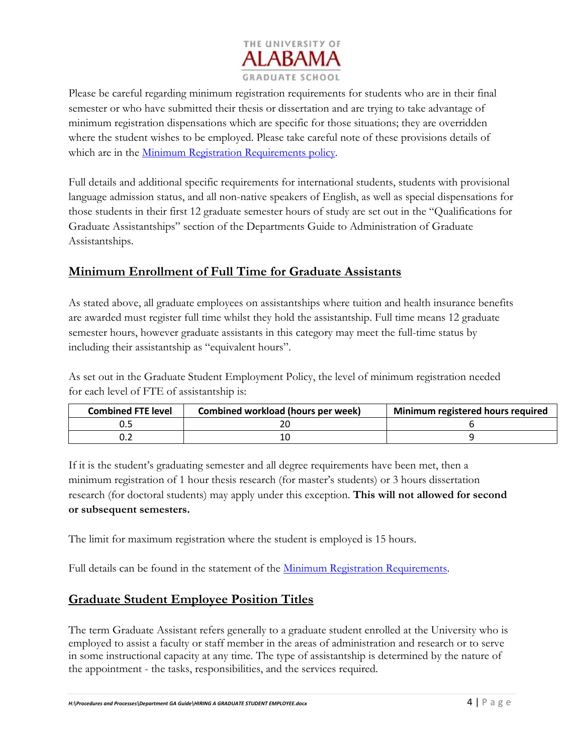

Please be careful regarding minimum registration requirements for students who are in their final semester or who have submitted their thesis or dissertation and are trying to take advantage of minimum registration dispensations which are specific for those situations; they are overridden where the student wishes to be employed. Please take careful note of these provisions details of which are in the Minimum Registration Requirements policy.

Full details and additional specific requirements for international students, students with provisional language admission status, and all non-native speakers of English, as well as special dispensations for those students in their first 12 graduate semester hours of study are set out in the "Qualifications for Graduate Assistantships" section of the Departments Guide to Administration of Graduate Assistantships.

# **Minimum Enrollment of Full Time for Graduate Assistants**

As stated above, all graduate employees on assistantships where tuition and health insurance benefits are awarded must register full time whilst they hold the assistantship. Full time means 12 graduate semester hours, however graduate assistants in this category may meet the full-time status by including their assistantship as "equivalent hours".

As set out in the Graduate Student Employment Policy, the level of minimum registration needed for each level of FTE of assistantship is:

| <b>Combined FTE level</b> | Combined workload (hours per week) | Minimum registered hours required |
|---------------------------|------------------------------------|-----------------------------------|
|                           |                                    |                                   |
|                           |                                    |                                   |

If it is the student's graduating semester and all degree requirements have been met, then a minimum registration of 1 hour thesis research (for master's students) or 3 hours dissertation research (for doctoral students) may apply under this exception. **This will not allowed for second or subsequent semesters.** 

The limit for maximum registration where the student is employed is 15 hours.

Full details can be found in the statement of the Minimum Registration Requirements.

# **Graduate Student Employee Position Titles**

The term Graduate Assistant refers generally to a graduate student enrolled at the University who is employed to assist a faculty or staff member in the areas of administration and research or to serve in some instructional capacity at any time. The type of assistantship is determined by the nature of the appointment - the tasks, responsibilities, and the services required.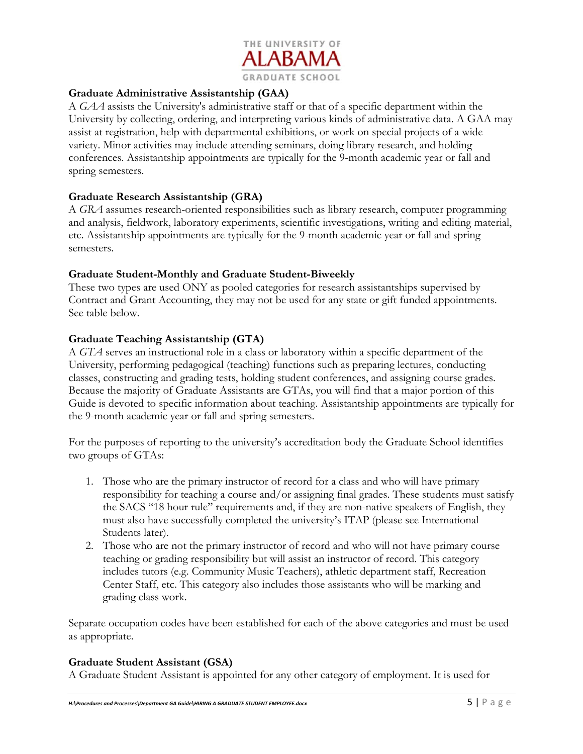

#### **Graduate Administrative Assistantship (GAA)**

A *GAA* assists the University's administrative staff or that of a specific department within the University by collecting, ordering, and interpreting various kinds of administrative data. A GAA may assist at registration, help with departmental exhibitions, or work on special projects of a wide variety. Minor activities may include attending seminars, doing library research, and holding conferences. Assistantship appointments are typically for the 9-month academic year or fall and spring semesters.

#### **Graduate Research Assistantship (GRA)**

A *GRA* assumes research-oriented responsibilities such as library research, computer programming and analysis, fieldwork, laboratory experiments, scientific investigations, writing and editing material, etc. Assistantship appointments are typically for the 9-month academic year or fall and spring semesters.

#### **Graduate Student-Monthly and Graduate Student-Biweekly**

These two types are used ONY as pooled categories for research assistantships supervised by Contract and Grant Accounting, they may not be used for any state or gift funded appointments. See table below.

#### **Graduate Teaching Assistantship (GTA)**

A *GTA* serves an instructional role in a class or laboratory within a specific department of the University, performing pedagogical (teaching) functions such as preparing lectures, conducting classes, constructing and grading tests, holding student conferences, and assigning course grades. Because the majority of Graduate Assistants are GTAs, you will find that a major portion of this Guide is devoted to specific information about teaching. Assistantship appointments are typically for the 9-month academic year or fall and spring semesters.

For the purposes of reporting to the university's accreditation body the Graduate School identifies two groups of GTAs:

- 1. Those who are the primary instructor of record for a class and who will have primary responsibility for teaching a course and/or assigning final grades. These students must satisfy the SACS "18 hour rule" requirements and, if they are non-native speakers of English, they must also have successfully completed the university's ITAP (please see International Students later).
- 2. Those who are not the primary instructor of record and who will not have primary course teaching or grading responsibility but will assist an instructor of record. This category includes tutors (e.g. Community Music Teachers), athletic department staff, Recreation Center Staff, etc. This category also includes those assistants who will be marking and grading class work.

Separate occupation codes have been established for each of the above categories and must be used as appropriate.

#### **Graduate Student Assistant (GSA)**

A Graduate Student Assistant is appointed for any other category of employment. It is used for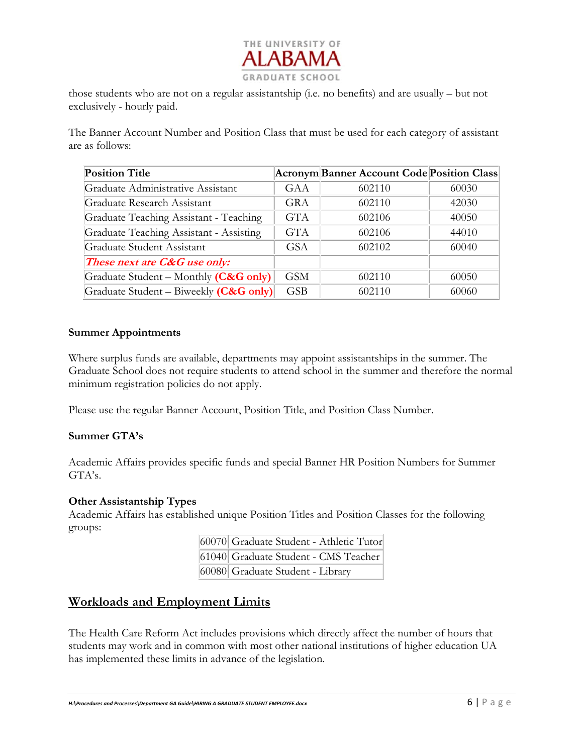

those students who are not on a regular assistantship (i.e. no benefits) and are usually – but not exclusively - hourly paid.

The Banner Account Number and Position Class that must be used for each category of assistant are as follows:

| <b>Position Title</b>                   |            | <b>Acronym Banner Account Code Position Class</b> |       |
|-----------------------------------------|------------|---------------------------------------------------|-------|
| Graduate Administrative Assistant       | GAA        | 602110                                            | 60030 |
| Graduate Research Assistant             | GRA        | 602110                                            | 42030 |
| Graduate Teaching Assistant - Teaching  | <b>GTA</b> | 602106                                            | 40050 |
| Graduate Teaching Assistant - Assisting | <b>GTA</b> | 602106                                            | 44010 |
| Graduate Student Assistant              | <b>GSA</b> | 602102                                            | 60040 |
| These next are C&G use only:            |            |                                                   |       |
| Graduate Student - Monthly (C&G only)   | GSM        | 602110                                            | 60050 |
| Graduate Student – Biweekly (C&G only)  | <b>GSB</b> | 602110                                            | 60060 |

#### **Summer Appointments**

Where surplus funds are available, departments may appoint assistantships in the summer. The Graduate School does not require students to attend school in the summer and therefore the normal minimum registration policies do not apply.

Please use the regular Banner Account, Position Title, and Position Class Number.

#### **Summer GTA's**

Academic Affairs provides specific funds and special Banner HR Position Numbers for Summer GTA's.

#### **Other Assistantship Types**

Academic Affairs has established unique Position Titles and Position Classes for the following groups:

| 60070 Graduate Student - Athletic Tutor |
|-----------------------------------------|
| 61040 Graduate Student - CMS Teacher    |
| 60080 Graduate Student - Library        |

### **Workloads and Employment Limits**

The Health Care Reform Act includes provisions which directly affect the number of hours that students may work and in common with most other national institutions of higher education UA has implemented these limits in advance of the legislation.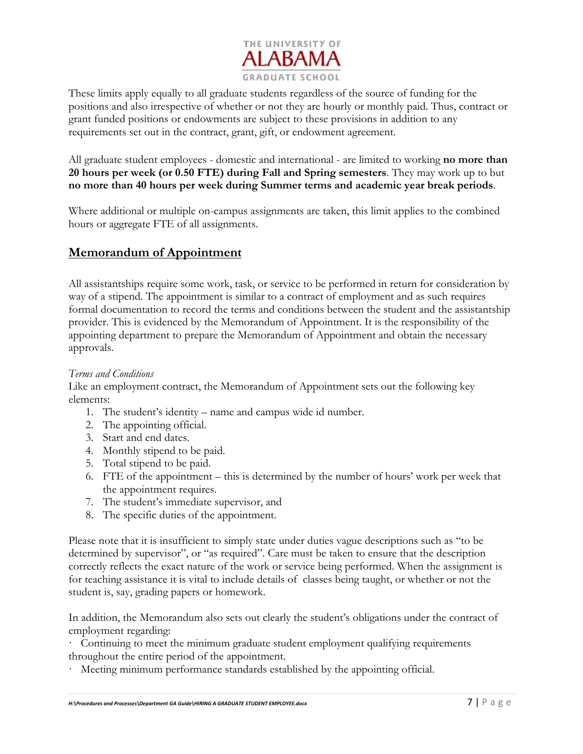

These limits apply equally to all graduate students regardless of the source of funding for the positions and also irrespective of whether or not they are hourly or monthly paid. Thus, contract or grant funded positions or endowments are subject to these provisions in addition to any requirements set out in the contract, grant, gift, or endowment agreement.

All graduate student employees - domestic and international - are limited to working **no more than 20 hours per week (or 0.50 FTE) during Fall and Spring semesters**. They may work up to but **no more than 40 hours per week during Summer terms and academic year break periods**.

Where additional or multiple on-campus assignments are taken, this limit applies to the combined hours or aggregate FTE of all assignments.

### **Memorandum of Appointment**

All assistantships require some work, task, or service to be performed in return for consideration by way of a stipend. The appointment is similar to a contract of employment and as such requires formal documentation to record the terms and conditions between the student and the assistantship provider. This is evidenced by the Memorandum of Appointment. It is the responsibility of the appointing department to prepare the Memorandum of Appointment and obtain the necessary approvals.

#### *Terms and Conditions*

Like an employment contract, the Memorandum of Appointment sets out the following key elements:

- 1. The student's identity name and campus wide id number.
- 2. The appointing official.
- 3. Start and end dates.
- 4. Monthly stipend to be paid.
- 5. Total stipend to be paid.
- 6. FTE of the appointment this is determined by the number of hours' work per week that the appointment requires.
- 7. The student's immediate supervisor, and
- 8. The specific duties of the appointment.

Please note that it is insufficient to simply state under duties vague descriptions such as "to be determined by supervisor", or "as required". Care must be taken to ensure that the description correctly reflects the exact nature of the work or service being performed. When the assignment is for teaching assistance it is vital to include details of classes being taught, or whether or not the student is, say, grading papers or homework.

In addition, the Memorandum also sets out clearly the student's obligations under the contract of employment regarding:

· Continuing to meet the minimum graduate student employment qualifying requirements throughout the entire period of the appointment.

Meeting minimum performance standards established by the appointing official.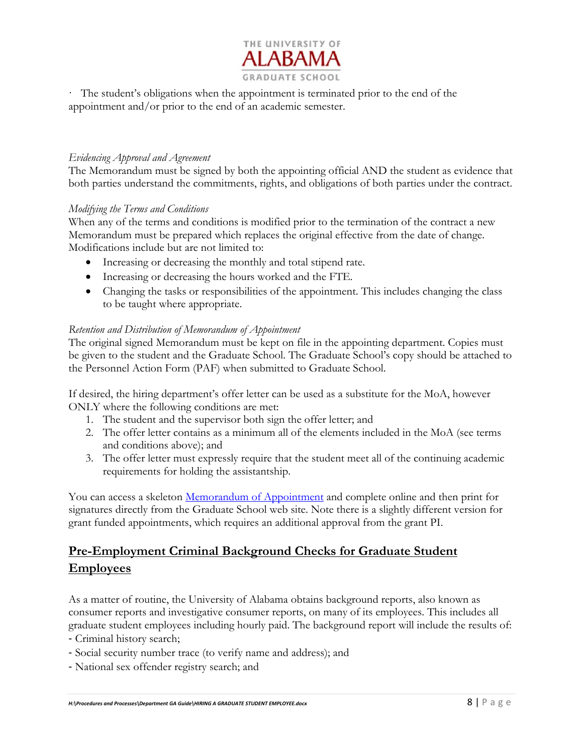

· The student's obligations when the appointment is terminated prior to the end of the appointment and/or prior to the end of an academic semester.

#### *Evidencing Approval and Agreement*

The Memorandum must be signed by both the appointing official AND the student as evidence that both parties understand the commitments, rights, and obligations of both parties under the contract.

#### *Modifying the Terms and Conditions*

When any of the terms and conditions is modified prior to the termination of the contract a new Memorandum must be prepared which replaces the original effective from the date of change. Modifications include but are not limited to:

- Increasing or decreasing the monthly and total stipend rate.
- Increasing or decreasing the hours worked and the FTE.
- Changing the tasks or responsibilities of the appointment. This includes changing the class to be taught where appropriate.

#### *Retention and Distribution of Memorandum of Appointment*

The original signed Memorandum must be kept on file in the appointing department. Copies must be given to the student and the Graduate School. The Graduate School's copy should be attached to the Personnel Action Form (PAF) when submitted to Graduate School.

If desired, the hiring department's offer letter can be used as a substitute for the MoA, however ONLY where the following conditions are met:

- 1. The student and the supervisor both sign the offer letter; and
- 2. The offer letter contains as a minimum all of the elements included in the MoA (see terms and conditions above); and
- 3. The offer letter must expressly require that the student meet all of the continuing academic requirements for holding the assistantship.

You can access a skeleton Memorandum of Appointment and complete online and then print for signatures directly from the Graduate School web site. Note there is a slightly different version for grant funded appointments, which requires an additional approval from the grant PI.

# **Pre-Employment Criminal Background Checks for Graduate Student Employees**

As a matter of routine, the University of Alabama obtains background reports, also known as consumer reports and investigative consumer reports, on many of its employees. This includes all graduate student employees including hourly paid. The background report will include the results of:

‐ Criminal history search;

- ‐ Social security number trace (to verify name and address); and
- ‐ National sex offender registry search; and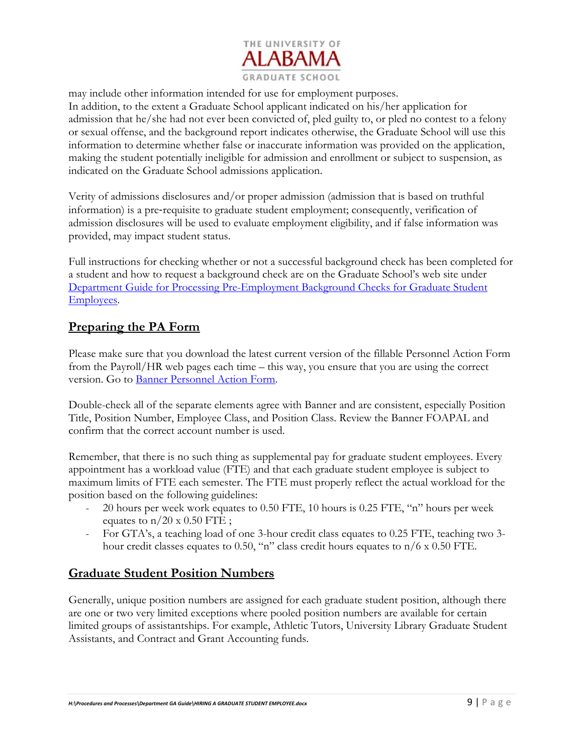

may include other information intended for use for employment purposes. In addition, to the extent a Graduate School applicant indicated on his/her application for admission that he/she had not ever been convicted of, pled guilty to, or pled no contest to a felony or sexual offense, and the background report indicates otherwise, the Graduate School will use this information to determine whether false or inaccurate information was provided on the application, making the student potentially ineligible for admission and enrollment or subject to suspension, as indicated on the Graduate School admissions application.

Verity of admissions disclosures and/or proper admission (admission that is based on truthful information) is a pre‐requisite to graduate student employment; consequently, verification of admission disclosures will be used to evaluate employment eligibility, and if false information was provided, may impact student status.

Full instructions for checking whether or not a successful background check has been completed for a student and how to request a background check are on the Graduate School's web site under Department Guide for Processing Pre-Employment Background Checks for Graduate Student Employees.

### **Preparing the PA Form**

Please make sure that you download the latest current version of the fillable Personnel Action Form from the Payroll/HR web pages each time – this way, you ensure that you are using the correct version. Go to Banner Personnel Action Form.

Double-check all of the separate elements agree with Banner and are consistent, especially Position Title, Position Number, Employee Class, and Position Class. Review the Banner FOAPAL and confirm that the correct account number is used.

Remember, that there is no such thing as supplemental pay for graduate student employees. Every appointment has a workload value (FTE) and that each graduate student employee is subject to maximum limits of FTE each semester. The FTE must properly reflect the actual workload for the position based on the following guidelines:

- 20 hours per week work equates to 0.50 FTE, 10 hours is 0.25 FTE, "n" hours per week equates to  $n/20 \times 0.50$  FTE;
- For GTA's, a teaching load of one 3-hour credit class equates to 0.25 FTE, teaching two 3hour credit classes equates to 0.50, "n" class credit hours equates to  $n/6 \times 0.50$  FTE.

# **Graduate Student Position Numbers**

Generally, unique position numbers are assigned for each graduate student position, although there are one or two very limited exceptions where pooled position numbers are available for certain limited groups of assistantships. For example, Athletic Tutors, University Library Graduate Student Assistants, and Contract and Grant Accounting funds.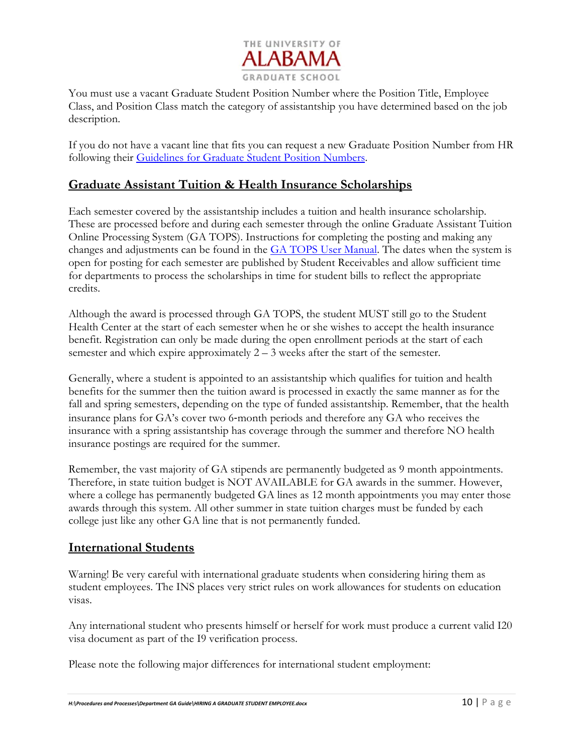

You must use a vacant Graduate Student Position Number where the Position Title, Employee Class, and Position Class match the category of assistantship you have determined based on the job description.

If you do not have a vacant line that fits you can request a new Graduate Position Number from HR following their Guidelines for Graduate Student Position Numbers.

### **Graduate Assistant Tuition & Health Insurance Scholarships**

Each semester covered by the assistantship includes a tuition and health insurance scholarship. These are processed before and during each semester through the online Graduate Assistant Tuition Online Processing System (GA TOPS). Instructions for completing the posting and making any changes and adjustments can be found in the **GA TOPS User Manual**. The dates when the system is open for posting for each semester are published by Student Receivables and allow sufficient time for departments to process the scholarships in time for student bills to reflect the appropriate credits.

Although the award is processed through GA TOPS, the student MUST still go to the Student Health Center at the start of each semester when he or she wishes to accept the health insurance benefit. Registration can only be made during the open enrollment periods at the start of each semester and which expire approximately  $2 - 3$  weeks after the start of the semester.

Generally, where a student is appointed to an assistantship which qualifies for tuition and health benefits for the summer then the tuition award is processed in exactly the same manner as for the fall and spring semesters, depending on the type of funded assistantship. Remember, that the health insurance plans for GA's cover two 6‐month periods and therefore any GA who receives the insurance with a spring assistantship has coverage through the summer and therefore NO health insurance postings are required for the summer.

Remember, the vast majority of GA stipends are permanently budgeted as 9 month appointments. Therefore, in state tuition budget is NOT AVAILABLE for GA awards in the summer. However, where a college has permanently budgeted GA lines as 12 month appointments you may enter those awards through this system. All other summer in state tuition charges must be funded by each college just like any other GA line that is not permanently funded.

### **International Students**

Warning! Be very careful with international graduate students when considering hiring them as student employees. The INS places very strict rules on work allowances for students on education visas.

Any international student who presents himself or herself for work must produce a current valid I20 visa document as part of the I9 verification process.

Please note the following major differences for international student employment: